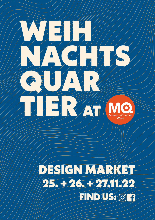# $\bullet$ **MuseumsQuartier** Wien

# DESIGN MARKET 25. + 26. + 27.11.22 FIND US: 0 A